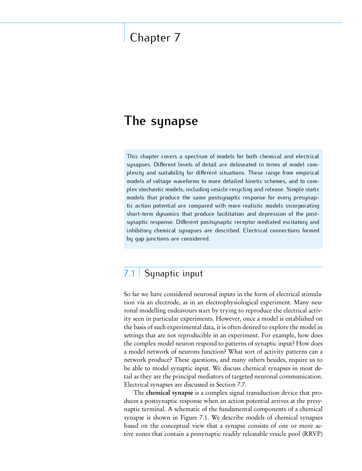# Chapter 7

# **The synapse**

This chapter covers a spectrum of models for both chemical and electrical synapses. Different levels of detail are delineated in terms of model complexity and suitability for different situations. These range from empirical models of voltage waveforms to more detailed kinetic schemes, and to complex stochastic models, including vesicle recycling and release. Simple static models that produce the same postsynaptic response for every presynaptic action potential are compared with more realistic models incorporating short-term dynamics that produce facilitation and depression of the postsynaptic response. Different postsynaptic receptor mediated excitatory and inhibitory chemical synapses are described. Electrical connections formed by gap junctions are considered.

## 7.1 Synaptic input

So far we have considered neuronal inputs in the form of electrical stimulation via an electrode, as in an electrophysiological experiment. Many neuronal modelling endeavours start by trying to reproduce the electrical activity seen in particular experiments. However, once a model is established on the basis of such experimental data, it is often desired to explore the model in settings that are not reproducible in an experiment. For example, how does the complex model neuron respond to patterns of synaptic input? How does a model network of neurons function? What sort of activity patterns can a network produce? These questions, and many others besides, require us to be able to model synaptic input. We discuss chemical synapses in most detail as they are the principal mediators of targeted neuronal communication. Electrical synapses are discussed in Section 7.7.

The chemical synapse is a complex signal transduction device that produces a postsynaptic response when an action potential arrives at the presynaptic terminal. A schematic of the fundamental components of a chemical synapse is shown in Figure 7.1. We describe models of chemical synapses based on the conceptual view that a synapse consists of one or more active zones that contain a presynaptic readily releasable vesicle pool (RRVP)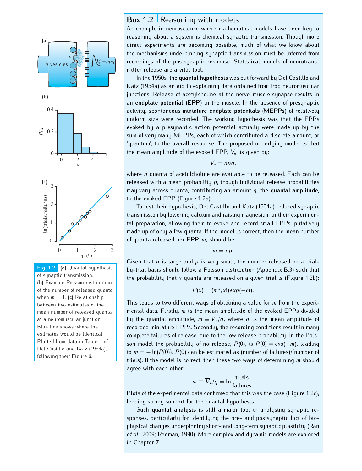

**Fig. 1.2 (a)** Quantal hypothesis of synaptic transmission. **(b)** Example Poisson distribution of the number of released quanta when  $m = 1$ . (c) Relationship between two estimates of the mean number of released quanta at a neuromuscular junction. Blue line shows where the estimates would be identical. Plotted from data in Table 1 of Del Castillo and Katz (1954a), following their Figure 6.

### **Box 1.2** Reasoning with models

An example in neuroscience where mathematical models have been key to reasoning about a system is chemical synaptic transmission. Though more direct experiments are becoming possible, much of what we know about the mechanisms underpinning synaptic transmission must be inferred from recordings of the postsynaptic response. Statistical models of neurotransvesicles  $\bigotimes_{i=1}^{\infty} \frac{1}{i} \bigvee_{k=1}^{\infty} \bigvee_{i=1}^{\infty} \frac{1}{i}$  recordings of the postsynaptic<br>mitter release are a vital tool.

> In the 1950s, the **quantal hypothesis** was put forward by Del Castillo and Katz (1954a) as an aid to explaining data obtained from frog neuromuscular junctions. Release of acetylcholine at the nerve–muscle synapse results in an **endplate potential** (**EPP**) in the muscle. In the absence of presynaptic activity, spontaneous **miniature endplate potentials** (**MEPPs**) of relatively uniform size were recorded. The working hypothesis was that the EPPs evoked by a presynaptic action potential actually were made up by the sum of very many MEPPs, each of which contributed a discrete amount, or 'quantum', to the overall response. The proposed underlying model is that the mean amplitude of the evoked EPP,  $V_e$ , is given by:

$$
V_{\rm e}=npq,
$$

where *n* quanta of acetylcholine are available to be released. Each can be released with a mean probability *p*, though individual release probabilities may vary across quanta, contributing an amount *q*, the **quantal amplitude**, to the evoked EPP (Figure 1.2a).

To test their hypothesis, Del Castillo and Katz (1954a) reduced synaptic transmission by lowering calcium and raising magnesium in their experimental preparation, allowing them to evoke and record small EPPs, putatively made up of only a few quanta. If the model is correct, then the mean number of quanta released per EPP, *m*, should be:

$$
m=np.
$$

Given that *n* is large and *p* is very small, the number released on a trialby-trial basis should follow a Poisson distribution (Appendix B.3) such that the probability that *x* quanta are released on a given trial is (Figure 1.2b):

$$
P(x) = (m^x/x!)exp(-m).
$$

This leads to two different ways of obtaining a value for *m* from the experimental data. Firstly, *m* is the mean amplitude of the evoked EPPs divided by the quantal amplitude,  $m \equiv \overline{V}_e/q$ , where q is the mean amplitude of recorded miniature EPPs. Secondly, the recording conditions result in many complete failures of release, due to the low release probability. In the Poisson model the probability of no release, *P*(0), is *P*(0) = exp(*−m*), leading to *m* = *−* ln(*P*(0)). *P*(0) can be estimated as (number of failures)/(number of trials). If the model is correct, then these two ways of determining *m* should agree with each other:

$$
m \equiv \overline{V}_e/q = \ln \frac{\text{trials}}{\text{failures}}.
$$

Plots of the experimental data confirmed that this was the case (Figure 1.2c), lending strong support for the quantal hypothesis.

Such **quantal analysis** is still a major tool in analysing synaptic responses, particularly for identifying the pre- and postsynaptic loci of biophysical changes underpinning short- and long-term synaptic plasticity (Ran *et al.*, 2009; Redman, 1990). More complex and dynamic models are explored in Chapter 7.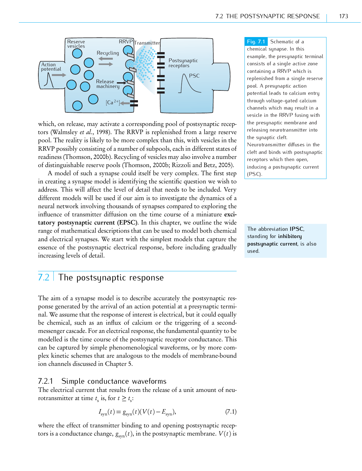

which, on release, may activate a corresponding pool of postsynaptic receptors (Walmsley et al., 1998). The RRVP is replenished from a large reserve pool. The reality is likely to be more complex than this, with vesicles in the RRVP possibly consisting of a number of subpools, each in different states of readiness (Thomson, 2000b). Recycling of vesicles may also involve a number of distinguishable reserve pools (Thomson, 2000b; Rizzoli and Betz, 2005).

A model of such a synapse could itself be very complex. The first step in creating a synapse model is identifying the scientific question we wish to address. This will affect the level of detail that needs to be included. Very different models will be used if our aim is to investigate the dynamics of a neural network involving thousands of synapses compared to exploring the influence of transmitter diffusion on the time course of a miniature excitatory postsynaptic current (EPSC). In this chapter, we outline the wide range of mathematical descriptions that can be used to model both chemical and electrical synapses. We start with the simplest models that capture the essence of the postsynaptic electrical response, before including gradually increasing levels of detail.

## 7.2 The postsynaptic response

The aim of a synapse model is to describe accurately the postsynaptic response generated by the arrival of an action potential at a presynaptic terminal. We assume that the response of interest is electrical, but it could equally be chemical, such as an influx of calcium or the triggering of a secondmessenger cascade. For an electrical response, the fundamental quantity to be modelled is the time course of the postsynaptic receptor conductance. This can be captured by simple phenomenological waveforms, or by more complex kinetic schemes that are analogous to the models of membrane-bound ion channels discussed in Chapter 5.

### 7.2.1 Simple conductance waveforms

The electrical current that results from the release of a unit amount of neurotransmitter at time  $t_s$  is, for  $t \geq t_s$ :

$$
I_{\rm syn}(t) = g_{\rm syn}(t)(V(t) - E_{\rm syn}),\tag{7.1}
$$

where the effect of transmitter binding to and opening postsynaptic receptors is a conductance change,  $g_{syn}(t)$ , in the postsynaptic membrane.  $V(t)$  is **Fig. 7.1** Schematic of a chemical sunapse. In this example, the presynaptic terminal consists of a single active zone containing a RRVP which is replenished from a single reserve pool. A presynaptic action potential leads to calcium entry through voltage-gated calcium channels which may result in a vesicle in the RRVP fusing with the presynaptic membrane and releasing neurotransmitter into the synaptic cleft. Neurotransmitter diffuses in the cleft and binds with postsynaptic receptors which then open, inducing a postsynaptic current (PSC).

The abbreviation **IPSC**, standing for **inhibitory postsynaptic current**, is also used.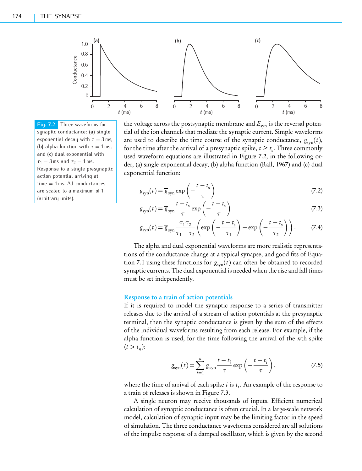

**Fig. 7.2** Three waveforms for synaptic conductance: **(a)** single exponential decay with  $\tau = 3$  ms, **(b)** alpha function with  $\tau = 1$  ms, and **(c)** dual exponential with  $\tau_1 = 3$  ms and  $\tau_2 = 1$  ms. Response to a single presynaptic action potential arriving at time = 1 ms. All conductances are scaled to a maximum of 1 (arbitrary units).

the voltage across the postsynaptic membrane and  $E_{syn}$  is the reversal potential of the ion channels that mediate the synaptic current. Simple waveforms are used to describe the time course of the synaptic conductance,  $g_{syn}(t)$ , for the time after the arrival of a presynaptic spike,  $t \geq t_{s}$ . Three commonly used waveform equations are illustrated in Figure 7.2, in the following order, (a) single exponential decay, (b) alpha function (Rall, 1967) and (c) dual exponential function:

$$
g_{syn}(t) = \overline{g}_{syn} \exp\left(-\frac{t - t_s}{\tau}\right) \tag{7.2}
$$

$$
g_{\rm syn}(t) = \overline{g}_{\rm syn} \frac{t - t_{\rm s}}{\tau} \exp\left(-\frac{t - t_{\rm s}}{\tau}\right) \tag{7.3}
$$

$$
g_{syn}(t) = \overline{g}_{syn} \frac{\tau_1 \tau_2}{\tau_1 - \tau_2} \left( \exp\left(-\frac{t - t_s}{\tau_1}\right) - \exp\left(-\frac{t - t_s}{\tau_2}\right) \right). \tag{7.4}
$$

The alpha and dual exponential waveforms are more realistic representations of the conductance change at a typical synapse, and good fits of Equation 7.1 using these functions for  $g_{syn}(t)$  can often be obtained to recorded synaptic currents. The dual exponential is needed when the rise and fall times must be set independently.

#### Response to a train of action potentials

If it is required to model the synaptic response to a series of transmitter releases due to the arrival of a stream of action potentials at the presynaptic terminal, then the synaptic conductance is given by the sum of the effects of the individual waveforms resulting from each release. For example, if the alpha function is used, for the time following the arrival of the nth spike  $(t > t_n):$ 

$$
g_{syn}(t) = \sum_{i=1}^{n} \overline{g}_{syn} \frac{t - t_i}{\tau} \exp\left(-\frac{t - t_i}{\tau}\right),\tag{7.5}
$$

where the time of arrival of each spike i is  $t_i$ . An example of the response to a train of releases is shown in Figure 7.3.

A single neuron may receive thousands of inputs. Efficient numerical calculation of synaptic conductance is often crucial. In a large-scale network model, calculation of synaptic input may be the limiting factor in the speed of simulation. The three conductance waveforms considered are all solutions of the impulse response of a damped oscillator, which is given by the second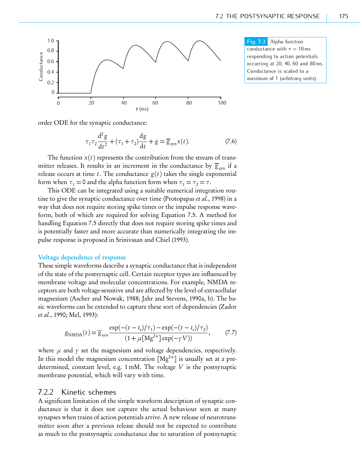

**Fig. 7.3** Alpha function conductance with  $\tau = 10$  ms responding to action potentials occurring at 20, 40, 60 and 80 ms. Conductance is scaled to a maximum of 1 (arbitrary units).

order ODE for the synaptic conductance:

$$
\tau_1 \tau_2 \frac{d^2 g}{dt^2} + (\tau_1 + \tau_2) \frac{dg}{dt} + g = \overline{g}_{syn} x(t).
$$
 (7.6)

The function  $x(t)$  represents the contribution from the stream of transmitter releases. It results in an increment in the conductance by  $\overline{g}_{syn}$  if a release occurs at time t. The conductance  $g(t)$  takes the single exponential form when  $\tau_1 = 0$  and the alpha function form when  $\tau_1 = \tau_2 = \tau$ .

This ODE can be integrated using a suitable numerical integration routine to give the synaptic conductance over time (Protopapas et al., 1998) in a way that does not require storing spike times or the impulse response waveform, both of which are required for solving Equation 7.5. A method for handling Equation 7.5 directly that does not require storing spike times and is potentially faster and more accurate than numerically integrating the impulse response is proposed in Srinivasan and Chiel (1993).

#### Voltage dependence of response

These simple waveforms describe a synaptic conductance that is independent of the state of the postsynaptic cell. Certain receptor types are influenced by membrane voltage and molecular concentrations. For example, NMDA receptors are both voltage-sensitive and are affected by the level of extracellular magnesium (Ascher and Nowak, 1988; Jahr and Stevens, 1990a, b). The basic waveforms can be extended to capture these sort of dependencies (Zador et al., 1990; Mel, 1993):

$$
g_{\text{NMDA}}(t) = \overline{g}_{\text{syn}} \frac{\exp(-(t - t_{\text{s}})/\tau_1) - \exp(-(t - t_{\text{s}})/\tau_2)}{(1 + \mu[\text{Mg}^{2+}] \exp(-\gamma V))},\tag{7.7}
$$

where  $\mu$  and  $\gamma$  set the magnesium and voltage dependencies, respectively. In this model the magnesium concentration  $[Mg^{2+}]$  is usually set at a predetermined, constant level, e.g. 1 mM. The voltage V is the postsynaptic membrane potential, which will vary with time.

### 7.2.2 Kinetic schemes

A significant limitation of the simple waveform description of synaptic conductance is that it does not capture the actual behaviour seen at many synapses when trains of action potentials arrive. A new release of neurotransmitter soon after a previous release should not be expected to contribute as much to the postsynaptic conductance due to saturation of postsynaptic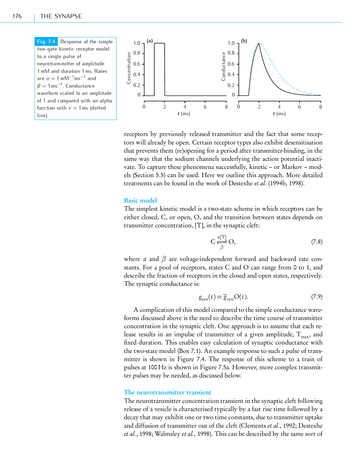**Fig. 7.4** Response of the simple two-gate kinetic receptor model to a single pulse of neurotransmitter of amplitude 1 mM and duration 1 ms. Rates are  $\alpha = 1$  mM<sup> $-1$ </sup>ms<sup> $-1$ </sup> and *β* = 1 ms*<sup>−</sup>*1. Conductance waveform scaled to an amplitude of 1 and compared with an alpha function with  $\tau = 1$  ms (dotted line).



receptors by previously released transmitter and the fact that some receptors will already be open. Certain receptor types also exhibit desensitisation that prevents them (re)opening for a period after transmitter-binding, in the same way that the sodium channels underlying the action potential inactivate. To capture these phenomena successfully, kinetic – or Markov – models (Section 5.5) can be used. Here we outline this approach. More detailed treatments can be found in the work of Destexhe et al. (1994b, 1998).

#### Basic model

The simplest kinetic model is a two-state scheme in which receptors can be either closed, C, or open, O, and the transition between states depends on transmitter concentration, [T], in the synaptic cleft:

$$
C \stackrel{\alpha[T]}{\underset{\beta}{\longleftarrow}} O,
$$
 (7.8)

where *α* and *β* are voltage-independent forward and backward rate constants. For a pool of receptors, states C and O can range from 0 to 1, and describe the fraction of receptors in the closed and open states, respectively. The synaptic conductance is:

$$
g_{\rm syn}(t) = \overline{g}_{\rm syn} \mathcal{O}(t). \tag{7.9}
$$

A complication of this model compared to the simple conductance waveforms discussed above is the need to describe the time course of transmitter concentration in the synaptic cleft. One approach is to assume that each release results in an impulse of transmitter of a given amplitude,  $T_{\text{max}}$ , and fixed duration. This enables easy calculation of synaptic conductance with the two-state model (Box 7.1). An example response to such a pulse of transmitter is shown in Figure 7.4. The response of this scheme to a train of pulses at 100 Hz is shown in Figure 7.5a. However, more complex transmitter pulses may be needed, as discussed below.

#### The neurotransmitter transient

The neurotransmitter concentration transient in the synaptic cleft following release of a vesicle is characterised typically by a fast rise time followed by a decay that may exhibit one or two time constants, due to transmitter uptake and diffusion of transmitter out of the cleft (Clements et al., 1992; Destexhe et al., 1998; Walmsley et al., 1998). This can be described by the same sort of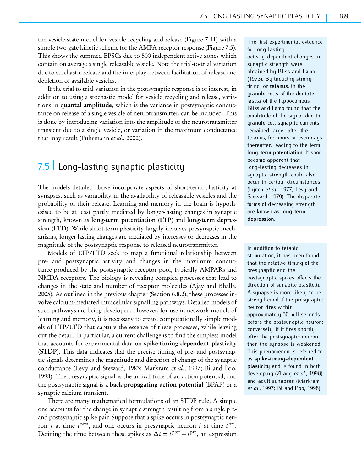the vesicle-state model for vesicle recycling and release (Figure 7.11) with a simple two-gate kinetic scheme for the AMPA receptor response (Figure 7.5). This shows the summed EPSCs due to 500 independent active zones which contain on average a single releasable vesicle. Note the trial-to-trial variation due to stochastic release and the interplay between facilitation of release and depletion of available vesicles.

If the trial-to-trial variation in the postsynaptic response is of interest, in addition to using a stochastic model for vesicle recycling and release, variations in quantal amplitude, which is the variance in postsynaptic conductance on release of a single vesicle of neurotransmitter, can be included. This is done by introducing variation into the amplitude of the neurotransmitter transient due to a single vesicle, or variation in the maximum conductance that may result (Fuhrmann et al., 2002).

7.5 Long-lasting synaptic plasticity

The models detailed above incorporate aspects of short-term plasticity at synapses, such as variability in the availability of releasable vesicles and the probability of their release. Learning and memory in the brain is hypothesised to be at least partly mediated by longer-lasting changes in synaptic strength, known as long-term potentiation (LTP) and long-term depression (LTD). While short-term plasticity largely involves presynaptic mechanisms, longer-lasting changes are mediated by increases or decreases in the magnitude of the postsynaptic response to released neurotransmitter.

Models of LTP/LTD seek to map a functional relationship between pre- and postsynaptic activity and changes in the maximum conductance produced by the postsynaptic receptor pool, typically AMPARs and NMDA receptors. The biology is revealing complex processes that lead to changes in the state and number of receptor molecules (Ajay and Bhalla, 2005). As outlined in the previous chapter (Section 6.8.2), these processes involve calcium-mediated intracellular signalling pathways. Detailed models of such pathways are being developed. However, for use in network models of learning and memory, it is necessary to create computationally simple models of LTP/LTD that capture the essence of these processes, while leaving out the detail. In particular, a current challenge is to find the simplest model that accounts for experimental data on spike-timing-dependent plasticity (STDP). This data indicates that the precise timing of pre- and postsynaptic signals determines the magnitude and direction of change of the synaptic conductance (Levy and Steward, 1983; Markram et al., 1997; Bi and Poo, 1998). The presynaptic signal is the arrival time of an action potential, and the postsynaptic signal is a back-propagating action potential (BPAP) or a synaptic calcium transient.

There are many mathematical formulations of an STDP rule. A simple one accounts for the change in synaptic strength resulting from a single preand postsynaptic spike pair. Suppose that a spike occurs in postsynaptic neuron  $j$  at time  $t^{post}$ , and one occurs in presynaptic neuron  $i$  at time  $t^{pre}$ . Defining the time between these spikes as  $\Delta t = t^{\text{post}} - t^{\text{pre}}$ , an expression The first experimental evidence for long-lasting, activity-dependent changes in synaptic strength were obtained by Bliss and Lømo (1973). By inducing strong firing, or **tetanus**, in the granule cells of the dentate fascia of the hippocampus, Bliss and Lømo found that the amplitude of the signal due to granule cell synaptic currents remained larger after the tetanus, for hours or even days thereafter, leading to the term **long-term potentiation**. It soon became apparent that long-lasting decreases in synaptic strength could also occur in certain circumstances (Lynch *et al.*, 1977; Levy and Steward, 1979). The disparate forms of decreasing strength are known as **long-term depression**.

In addition to tetanic stimulation, it has been found that the relative timing of the presynaptic and the postsynaptic spikes affects the direction of synaptic plasticity. A synapse is more likely to be strengthened if the presynaptic neuron fires within approximately 50 milliseconds before the postsynaptic neuron; conversely, if it fires shortly after the postsynaptic neuron then the synapse is weakened. This phenomenon is referred to as **spike-timing-dependent plasticity** and is found in both developing (Zhang *et al.*, 1998) and adult synapses (Markram *et al.*, 1997; Bi and Poo, 1998).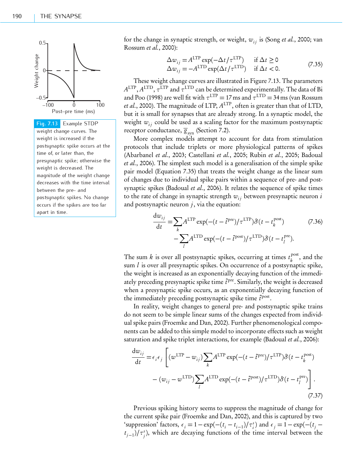![](_page_7_Figure_1.jpeg)

**Fig. 7.13** Example STDP weight change curves. The weight is increased if the postsynaptic spike occurs at the time of, or later than, the presynaptic spike; otherwise the weight is decreased. The magnitude of the weight change decreases with the time interval between the pre- and postsynaptic spikes. No change occurs if the spikes are too far apart in time.

for the change in synaptic strength, or weight,  $w_{ij}$  is (Song et al., 2000; van Rossum et al., 2000):

$$
\Delta w_{ij} = A^{\text{LTP}} \exp(-\Delta t / \tau^{\text{LTP}}) \quad \text{if } \Delta t \ge 0
$$
  
\n
$$
\Delta w_{ij} = -A^{\text{LTP}} \exp(\Delta t / \tau^{\text{LTP}}) \quad \text{if } \Delta t < 0.
$$
 (7.35)

These weight change curves are illustrated in Figure 7.13. The parameters ALTP, ALTD, *τ*LTP and *τ*LTD can be determined experimentally. The data of Bi and Poo (1998) are well fit with  $\tau^{\text{LTP}} = 17 \text{ ms}$  and  $\tau^{\text{LTD}} = 34 \text{ ms}$  (van Rossum et al., 2000). The magnitude of LTP,  $A<sup>LTP</sup>$ , often is greater than that of LTD, but it is small for synapses that are already strong. In a synaptic model, the weight  $w_{ij}$  could be used as a scaling factor for the maximum postsynaptic receptor conductance,  $\overline{g}_{syn}$  (Section 7.2).

More complex models attempt to account for data from stimulation protocols that include triplets or more physiological patterns of spikes (Abarbanel et al., 2003; Castellani et al., 2005; Rubin et al., 2005; Badoual et al., 2006). The simplest such model is a generalisation of the simple spike pair model (Equation 7.35) that treats the weight change as the linear sum of changes due to individual spike pairs within a sequence of pre- and postsynaptic spikes (Badoual et al., 2006). It relates the sequence of spike times to the rate of change in synaptic strength  $w_{ij}$  between presynaptic neuron i and postsynaptic neuron  $j$ , via the equation:

$$
\frac{d w_{ij}}{dt} = \sum_{k} A^{LTP} \exp(-(t - \tilde{t}^{pre})/\tau^{LTP}) \delta(t - t_k^{post})
$$
 (7.36)  

$$
- \sum_{l} A^{TTD} \exp(-(t - \tilde{t}^{post})/\tau^{LTD}) \delta(t - t_l^{pre}).
$$

The sum k is over all postsynaptic spikes, occurring at times  $t_k^{\text{post}}$ , and the sum  $l$  is over all presynaptic spikes. On occurrence of a postsynaptic spike, the weight is increased as an exponentially decaying function of the immediately preceding presynaptic spike time  $\tilde{t}^{\text{pre}}$ . Similarly, the weight is decreased when a presynaptic spike occurs, as an exponentially decaying function of the immediately preceding postsynaptic spike time  $\tilde{t}^{\text{post}}$ .

In reality, weight changes to general pre- and postsynaptic spike trains do not seem to be simple linear sums of the changes expected from individual spike pairs (Froemke and Dan, 2002). Further phenomenological components can be added to this simple model to incorporate effects such as weight saturation and spike triplet interactions, for example (Badoual et al., 2006):

$$
\frac{d w_{ij}}{dt} = \epsilon_i \epsilon_j \left[ (\omega^{\text{LTP}} - w_{ij}) \sum_k A^{\text{LTP}} \exp(-(t - \tilde{t}^{\text{pre}})/\tau^{\text{LTP}}) \delta(t - t_k^{\text{post}}) - (\omega_{ij} - \omega^{\text{LTP}}) \sum_l A^{\text{LTD}} \exp(-(t - \tilde{t}^{\text{post}})/\tau^{\text{LTD}}) \delta(t - t_l^{\text{pre}}) \right].
$$
\n(7.37)

Previous spiking history seems to suppress the magnitude of change for the current spike pair (Froemke and Dan, 2002), and this is captured by two 'suppression' factors,  $\epsilon_i = 1 - \exp(-(t_i - t_{i-1})/\tau_i^s)$  and  $\epsilon_j = 1 - \exp(-(t_j - t_{i-1})/\tau_i^s)$ tj−<sup>1</sup>)*/τ*<sup>s</sup> j ), which are decaying functions of the time interval between the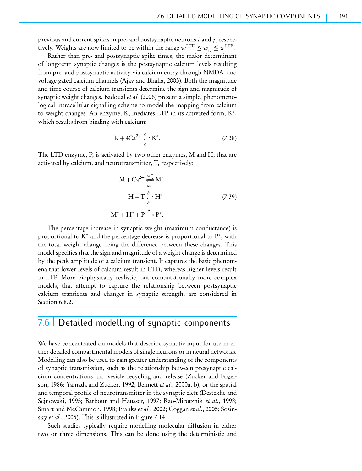previous and current spikes in pre- and postsynaptic neurons  $i$  and  $j$ , respectively. Weights are now limited to be within the range  $w^{\text{LTD}} \leq w_{ij} \leq w^{\text{LTP}}$ .

Rather than pre- and postsynaptic spike times, the major determinant of long-term synaptic changes is the postsynaptic calcium levels resulting from pre- and postsynaptic activity via calcium entry through NMDA- and voltage-gated calcium channels (Ajay and Bhalla, 2005). Both the magnitude and time course of calcium transients determine the sign and magnitude of synaptic weight changes. Badoual et al. (2006) present a simple, phenomenological intracellular signalling scheme to model the mapping from calcium to weight changes. An enzyme, K, mediates LTP in its activated form, K∗, which results from binding with calcium:

$$
K + 4Ca^{2+} \xleftarrow{k^+} K^*.
$$
 (7.38)

The LTD enzyme, P, is activated by two other enzymes, M and H, that are activated by calcium, and neurotransmitter, T, respectively:

$$
M + Ca^{2+} \frac{m^{+}}{m^{-}} M^{*}
$$
  
\n
$$
H + T \frac{b^{+}}{b^{-}} H^{*}
$$
  
\n
$$
M^{*} + H^{*} + P \xrightarrow{p^{+}} P^{*}.
$$
  
\n(7.39)

The percentage increase in synaptic weight (maximum conductance) is proportional to  $K^*$  and the percentage decrease is proportional to  $P^*$ , with the total weight change being the difference between these changes. This model specifies that the sign and magnitude of a weight change is determined by the peak amplitude of a calcium transient. It captures the basic phenomena that lower levels of calcium result in LTD, whereas higher levels result in LTP. More biophysically realistic, but computationally more complex models, that attempt to capture the relationship between postsynaptic calcium transients and changes in synaptic strength, are considered in Section 6.8.2.

### 7.6 Detailed modelling of synaptic components

We have concentrated on models that describe synaptic input for use in either detailed compartmental models of single neurons or in neural networks. Modelling can also be used to gain greater understanding of the components of synaptic transmission, such as the relationship between presynaptic calcium concentrations and vesicle recycling and release (Zucker and Fogelson, 1986; Yamada and Zucker, 1992; Bennett et al., 2000a, b), or the spatial and temporal profile of neurotransmitter in the synaptic cleft (Destexhe and Sejnowski, 1995; Barbour and Häusser, 1997; Rao-Mirotznik et al., 1998; Smart and McCammon, 1998; Franks et al., 2002; Coggan et al., 2005; Sosinsky et al., 2005). This is illustrated in Figure 7.14.

Such studies typically require modelling molecular diffusion in either two or three dimensions. This can be done using the deterministic and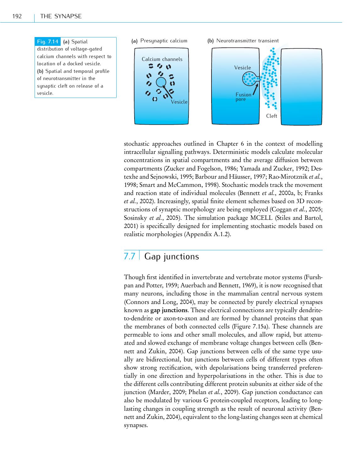**Fig. 7.14 (a)** Spatial distribution of voltage-gated calcium channels with respect to location of a docked vesicle. **(b)** Spatial and temporal profile of neurotransmitter in the synaptic cleft on release of a vesicle.

**(a)** Presynaptic calcium

**(b)** Neurotransmitter transient

![](_page_9_Figure_4.jpeg)

stochastic approaches outlined in Chapter 6 in the context of modelling intracellular signalling pathways. Deterministic models calculate molecular concentrations in spatial compartments and the average diffusion between compartments (Zucker and Fogelson, 1986; Yamada and Zucker, 1992; Destexhe and Sejnowski, 1995; Barbour and Häusser, 1997; Rao-Mirotznik et al., 1998; Smart and McCammon, 1998). Stochastic models track the movement and reaction state of individual molecules (Bennett et al., 2000a, b; Franks et al., 2002). Increasingly, spatial finite element schemes based on 3D reconstructions of synaptic morphology are being employed (Coggan et al., 2005; Sosinsky et al., 2005). The simulation package MCELL (Stiles and Bartol, 2001) is specifically designed for implementing stochastic models based on realistic morphologies (Appendix A.1.2).

## 7.7 Gap junctions

Though first identified in invertebrate and vertebrate motor systems (Furshpan and Potter, 1959; Auerbach and Bennett, 1969), it is now recognised that many neurons, including those in the mammalian central nervous system (Connors and Long, 2004), may be connected by purely electrical synapses known as gap junctions. These electrical connections are typically dendriteto-dendrite or axon-to-axon and are formed by channel proteins that span the membranes of both connected cells (Figure 7.15a). These channels are permeable to ions and other small molecules, and allow rapid, but attenuated and slowed exchange of membrane voltage changes between cells (Bennett and Zukin, 2004). Gap junctions between cells of the same type usually are bidirectional, but junctions between cells of different types often show strong rectification, with depolarisations being transferred preferentially in one direction and hyperpolarisations in the other. This is due to the different cells contributing different protein subunits at either side of the junction (Marder, 2009; Phelan et al., 2009). Gap junction conductance can also be modulated by various G protein-coupled receptors, leading to longlasting changes in coupling strength as the result of neuronal activity (Bennett and Zukin, 2004), equivalent to the long-lasting changes seen at chemical synapses.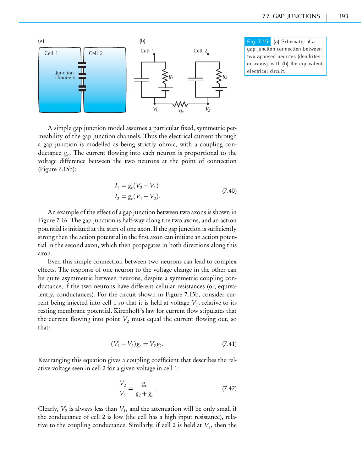![](_page_10_Figure_1.jpeg)

**Fig. 7.15 (a)** Schematic of a gap junction connection between two apposed neurites (dendrites or axons), with **(b)** the equivalent electrical circuit.

A simple gap junction model assumes a particular fixed, symmetric permeability of the gap junction channels. Thus the electrical current through a gap junction is modelled as being strictly ohmic, with a coupling conductance  $g_c$ . The current flowing into each neuron is proportional to the voltage difference between the two neurons at the point of connection (Figure 7.15b):

$$
I_1 = g_c(V_2 - V_1)
$$
  
\n
$$
I_2 = g_c(V_1 - V_2).
$$
\n(7.40)

An example of the effect of a gap junction between two axons is shown in Figure 7.16. The gap junction is half-way along the two axons, and an action potential is initiated at the start of one axon. If the gap junction is sufficiently strong then the action potential in the first axon can initiate an action potential in the second axon, which then propagates in both directions along this axon.

Even this simple connection between two neurons can lead to complex effects. The response of one neuron to the voltage change in the other can be quite asymmetric between neurons, despite a symmetric coupling conductance, if the two neurons have different cellular resistances (or, equivalently, conductances). For the circuit shown in Figure 7.15b, consider current being injected into cell 1 so that it is held at voltage  $V_1$ , relative to its resting membrane potential. Kirchhoff's law for current flow stipulates that the current flowing into point  $V_2$  must equal the current flowing out, so that:

$$
(V_1 - V_2)g_c = V_2 g_2. \t\t(7.41)
$$

Rearranging this equation gives a coupling coefficient that describes the relative voltage seen in cell 2 for a given voltage in cell 1:

$$
\frac{V_2}{V_1} = \frac{g_c}{g_2 + g_c}.
$$
 (7.42)

Clearly,  $V_2$  is always less than  $V_1$ , and the attenuation will be only small if the conductance of cell 2 is low (the cell has a high input resistance), relative to the coupling conductance. Similarly, if cell 2 is held at  $V_2$ , then the